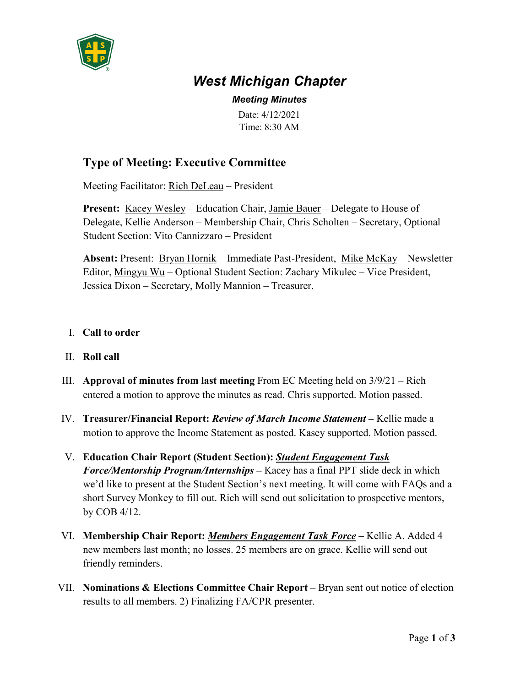

# *West Michigan Chapter*

*Meeting Minutes*

Date: 4/12/2021 Time: 8:30 AM

## **Type of Meeting: Executive Committee**

Meeting Facilitator: Rich DeLeau – President

**Present:** Kacey Wesley – Education Chair, Jamie Bauer – Delegate to House of Delegate, Kellie Anderson – Membership Chair, Chris Scholten – Secretary, Optional Student Section: Vito Cannizzaro – President

**Absent:** Present: Bryan Hornik – Immediate Past-President, Mike McKay – Newsletter Editor, Mingyu Wu – Optional Student Section: Zachary Mikulec – Vice President, Jessica Dixon – Secretary, Molly Mannion – Treasurer.

#### I. **Call to order**

- II. **Roll call**
- III. **Approval of minutes from last meeting** From EC Meeting held on 3/9/21 Rich entered a motion to approve the minutes as read. Chris supported. Motion passed.
- IV. **Treasurer/Financial Report:** *Review of March Income Statement* **–** Kellie made a motion to approve the Income Statement as posted. Kasey supported. Motion passed.
- V. **Education Chair Report (Student Section):** *Student Engagement Task Force/Mentorship Program/Internships* **–** Kacey has a final PPT slide deck in which we'd like to present at the Student Section's next meeting. It will come with FAQs and a short Survey Monkey to fill out. Rich will send out solicitation to prospective mentors, by COB 4/12.
- VI. **Membership Chair Report:** *Members Engagement Task Force* **–** Kellie A. Added 4 new members last month; no losses. 25 members are on grace. Kellie will send out friendly reminders.
- VII. **Nominations & Elections Committee Chair Report** Bryan sent out notice of election results to all members. 2) Finalizing FA/CPR presenter.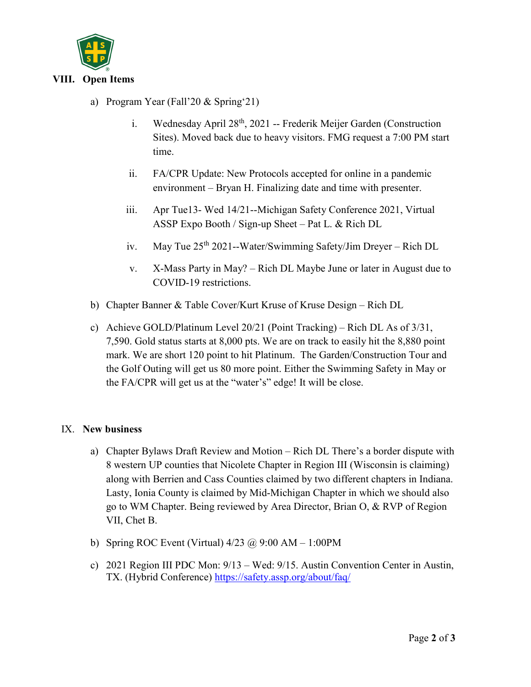

### a) Program Year (Fall'20 & Spring'21)

- i. Wednesday April 28<sup>th</sup>, 2021 -- Frederik Meijer Garden (Construction Sites). Moved back due to heavy visitors. FMG request a 7:00 PM start time.
- ii. FA/CPR Update: New Protocols accepted for online in a pandemic environment – Bryan H. Finalizing date and time with presenter.
- iii. Apr Tue13- Wed 14/21--Michigan Safety Conference 2021, Virtual ASSP Expo Booth / Sign-up Sheet – Pat L. & Rich DL
- iv. May Tue 25<sup>th</sup> 2021--Water/Swimming Safety/Jim Dreyer Rich DL
- v. X-Mass Party in May? Rich DL Maybe June or later in August due to COVID-19 restrictions.
- b) Chapter Banner & Table Cover/Kurt Kruse of Kruse Design Rich DL
- c) Achieve GOLD/Platinum Level 20/21 (Point Tracking) Rich DL As of 3/31, 7,590. Gold status starts at 8,000 pts. We are on track to easily hit the 8,880 point mark. We are short 120 point to hit Platinum. The Garden/Construction Tour and the Golf Outing will get us 80 more point. Either the Swimming Safety in May or the FA/CPR will get us at the "water's" edge! It will be close.

#### IX. **New business**

- a) Chapter Bylaws Draft Review and Motion Rich DL There's a border dispute with 8 western UP counties that Nicolete Chapter in Region III (Wisconsin is claiming) along with Berrien and Cass Counties claimed by two different chapters in Indiana. Lasty, Ionia County is claimed by Mid-Michigan Chapter in which we should also go to WM Chapter. Being reviewed by Area Director, Brian O, & RVP of Region VII, Chet B.
- b) Spring ROC Event (Virtual) 4/23 @ 9:00 AM 1:00PM
- c) 2021 Region III PDC Mon: 9/13 Wed: 9/15. Austin Convention Center in Austin, TX. (Hybrid Conference)<https://safety.assp.org/about/faq/>